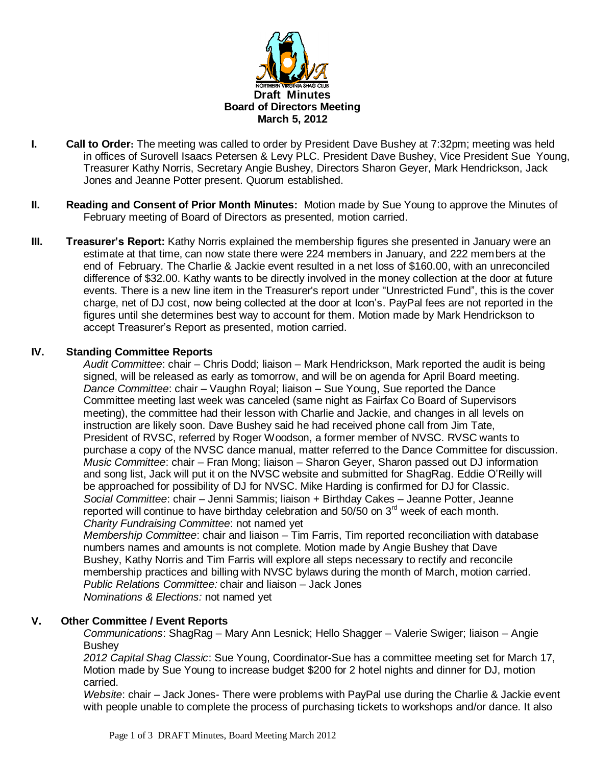

- **I. Call to Order:** The meeting was called to order by President Dave Bushey at 7:32pm; meeting was held in offices of Surovell Isaacs Petersen & Levy PLC. President Dave Bushey, Vice President Sue Young, Treasurer Kathy Norris, Secretary Angie Bushey, Directors Sharon Geyer, Mark Hendrickson, Jack Jones and Jeanne Potter present. Quorum established.
- **II. Reading and Consent of Prior Month Minutes:** Motion made by Sue Young to approve the Minutes of February meeting of Board of Directors as presented, motion carried.
- **III. Treasurer's Report:** Kathy Norris explained the membership figures she presented in January were an estimate at that time, can now state there were 224 members in January, and 222 members at the end of February. The Charlie & Jackie event resulted in a net loss of \$160.00, with an unreconciled difference of \$32.00. Kathy wants to be directly involved in the money collection at the door at future events. There is a new line item in the Treasurer's report under "Unrestricted Fund", this is the cover charge, net of DJ cost, now being collected at the door at Icon's. PayPal fees are not reported in the figures until she determines best way to account for them. Motion made by Mark Hendrickson to accept Treasurer's Report as presented, motion carried.

## **IV. Standing Committee Reports**

*Audit Committee*: chair – Chris Dodd; liaison – Mark Hendrickson, Mark reported the audit is being signed, will be released as early as tomorrow, and will be on agenda for April Board meeting. *Dance Committee*: chair – Vaughn Royal; liaison – Sue Young, Sue reported the Dance Committee meeting last week was canceled (same night as Fairfax Co Board of Supervisors meeting), the committee had their lesson with Charlie and Jackie, and changes in all levels on instruction are likely soon. Dave Bushey said he had received phone call from Jim Tate, President of RVSC, referred by Roger Woodson, a former member of NVSC. RVSC wants to purchase a copy of the NVSC dance manual, matter referred to the Dance Committee for discussion. *Music Committee*: chair – Fran Mong; liaison – Sharon Geyer, Sharon passed out DJ information and song list, Jack will put it on the NVSC website and submitted for ShagRag. Eddie O'Reilly will be approached for possibility of DJ for NVSC. Mike Harding is confirmed for DJ for Classic. *Social Committee*: chair – Jenni Sammis; liaison + Birthday Cakes – Jeanne Potter, Jeanne reported will continue to have birthday celebration and  $50/50$  on  $3<sup>rd</sup>$  week of each month. *Charity Fundraising Committee*: not named yet

*Membership Committee*: chair and liaison – Tim Farris, Tim reported reconciliation with database numbers names and amounts is not complete. Motion made by Angie Bushey that Dave Bushey, Kathy Norris and Tim Farris will explore all steps necessary to rectify and reconcile membership practices and billing with NVSC bylaws during the month of March, motion carried. *Public Relations Committee:* chair and liaison – Jack Jones *Nominations & Elections:* not named yet

## **V. Other Committee / Event Reports**

*Communications*: ShagRag – Mary Ann Lesnick; Hello Shagger – Valerie Swiger; liaison – Angie Bushey

*2012 Capital Shag Classic*: Sue Young, Coordinator-Sue has a committee meeting set for March 17, Motion made by Sue Young to increase budget \$200 for 2 hotel nights and dinner for DJ, motion carried.

*Website*: chair – Jack Jones- There were problems with PayPal use during the Charlie & Jackie event with people unable to complete the process of purchasing tickets to workshops and/or dance. It also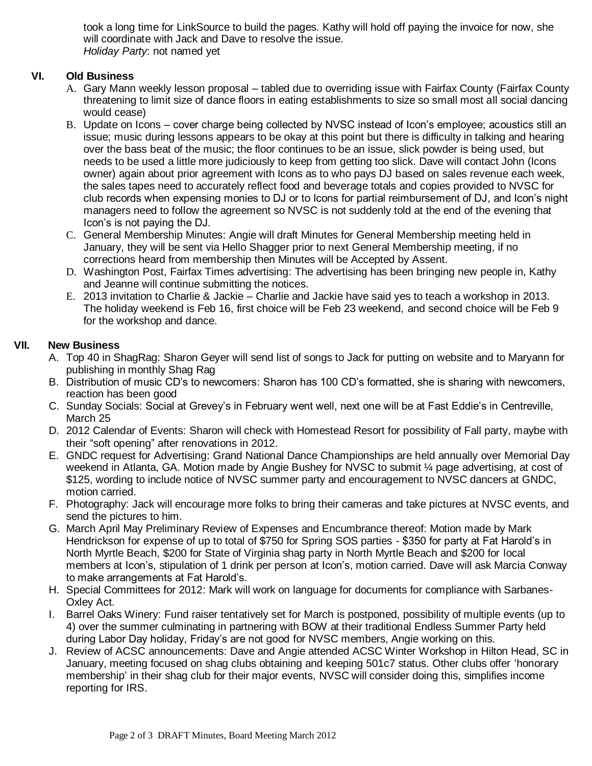took a long time for LinkSource to build the pages. Kathy will hold off paying the invoice for now, she will coordinate with Jack and Dave to resolve the issue. *Holiday Party*: not named yet

## **VI. Old Business**

- A. Gary Mann weekly lesson proposal tabled due to overriding issue with Fairfax County (Fairfax County threatening to limit size of dance floors in eating establishments to size so small most all social dancing would cease)
- B. Update on Icons cover charge being collected by NVSC instead of Icon's employee; acoustics still an issue; music during lessons appears to be okay at this point but there is difficulty in talking and hearing over the bass beat of the music; the floor continues to be an issue, slick powder is being used, but needs to be used a little more judiciously to keep from getting too slick. Dave will contact John (Icons owner) again about prior agreement with Icons as to who pays DJ based on sales revenue each week, the sales tapes need to accurately reflect food and beverage totals and copies provided to NVSC for club records when expensing monies to DJ or to Icons for partial reimbursement of DJ, and Icon's night managers need to follow the agreement so NVSC is not suddenly told at the end of the evening that Icon's is not paying the DJ.
- C. General Membership Minutes: Angie will draft Minutes for General Membership meeting held in January, they will be sent via Hello Shagger prior to next General Membership meeting, if no corrections heard from membership then Minutes will be Accepted by Assent.
- D. Washington Post, Fairfax Times advertising: The advertising has been bringing new people in, Kathy and Jeanne will continue submitting the notices.
- E. 2013 invitation to Charlie & Jackie Charlie and Jackie have said yes to teach a workshop in 2013. The holiday weekend is Feb 16, first choice will be Feb 23 weekend, and second choice will be Feb 9 for the workshop and dance.

## **VII. New Business**

- A. Top 40 in ShagRag: Sharon Geyer will send list of songs to Jack for putting on website and to Maryann for publishing in monthly Shag Rag
- B. Distribution of music CD's to newcomers: Sharon has 100 CD's formatted, she is sharing with newcomers, reaction has been good
- C. Sunday Socials: Social at Grevey's in February went well, next one will be at Fast Eddie's in Centreville, March 25
- D. 2012 Calendar of Events: Sharon will check with Homestead Resort for possibility of Fall party, maybe with their "soft opening" after renovations in 2012.
- E. GNDC request for Advertising: Grand National Dance Championships are held annually over Memorial Day weekend in Atlanta, GA. Motion made by Angie Bushey for NVSC to submit ¼ page advertising, at cost of \$125, wording to include notice of NVSC summer party and encouragement to NVSC dancers at GNDC, motion carried.
- F. Photography: Jack will encourage more folks to bring their cameras and take pictures at NVSC events, and send the pictures to him.
- G. March April May Preliminary Review of Expenses and Encumbrance thereof: Motion made by Mark Hendrickson for expense of up to total of \$750 for Spring SOS parties - \$350 for party at Fat Harold's in North Myrtle Beach, \$200 for State of Virginia shag party in North Myrtle Beach and \$200 for local members at Icon's, stipulation of 1 drink per person at Icon's, motion carried. Dave will ask Marcia Conway to make arrangements at Fat Harold's.
- H. Special Committees for 2012: Mark will work on language for documents for compliance with Sarbanes-Oxley Act.
- I. Barrel Oaks Winery: Fund raiser tentatively set for March is postponed, possibility of multiple events (up to 4) over the summer culminating in partnering with BOW at their traditional Endless Summer Party held during Labor Day holiday, Friday's are not good for NVSC members, Angie working on this.
- J. Review of ACSC announcements: Dave and Angie attended ACSC Winter Workshop in Hilton Head, SC in January, meeting focused on shag clubs obtaining and keeping 501c7 status. Other clubs offer 'honorary membership' in their shag club for their major events, NVSC will consider doing this, simplifies income reporting for IRS.